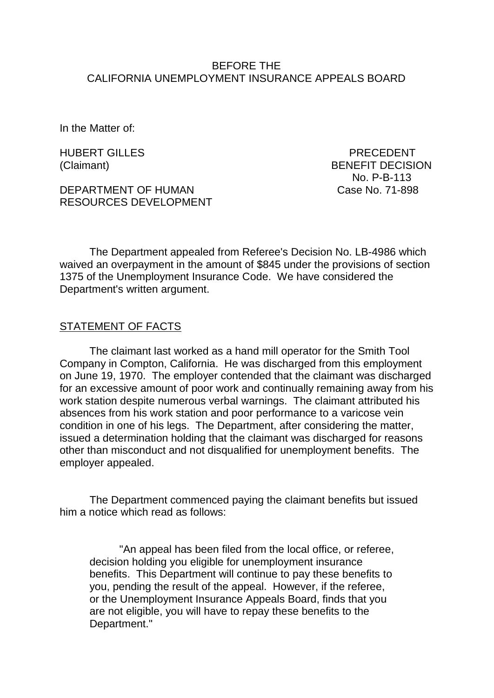### BEFORE THE CALIFORNIA UNEMPLOYMENT INSURANCE APPEALS BOARD

In the Matter of:

HUBERT GILLES PRECEDENT

DEPARTMENT OF HUMAN Case No. 71-898 RESOURCES DEVELOPMENT

(Claimant) BENEFIT DECISION No. P-B-113

The Department appealed from Referee's Decision No. LB-4986 which waived an overpayment in the amount of \$845 under the provisions of section 1375 of the Unemployment Insurance Code. We have considered the Department's written argument.

#### STATEMENT OF FACTS

The claimant last worked as a hand mill operator for the Smith Tool Company in Compton, California. He was discharged from this employment on June 19, 1970. The employer contended that the claimant was discharged for an excessive amount of poor work and continually remaining away from his work station despite numerous verbal warnings. The claimant attributed his absences from his work station and poor performance to a varicose vein condition in one of his legs. The Department, after considering the matter, issued a determination holding that the claimant was discharged for reasons other than misconduct and not disqualified for unemployment benefits. The employer appealed.

The Department commenced paying the claimant benefits but issued him a notice which read as follows:

"An appeal has been filed from the local office, or referee, decision holding you eligible for unemployment insurance benefits. This Department will continue to pay these benefits to you, pending the result of the appeal. However, if the referee, or the Unemployment Insurance Appeals Board, finds that you are not eligible, you will have to repay these benefits to the Department."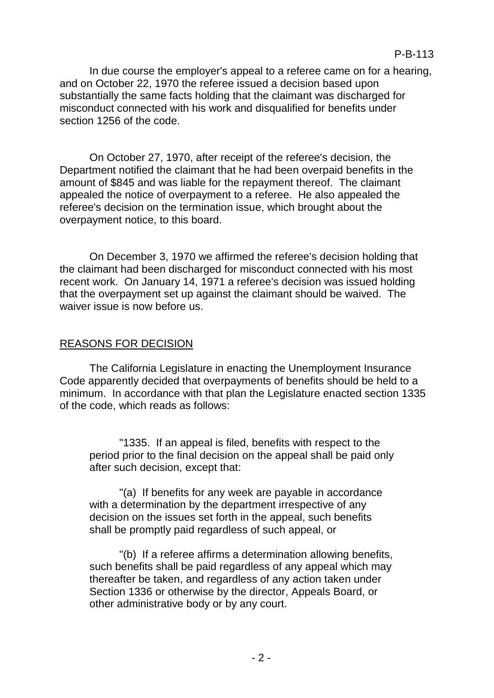In due course the employer's appeal to a referee came on for a hearing, and on October 22, 1970 the referee issued a decision based upon substantially the same facts holding that the claimant was discharged for misconduct connected with his work and disqualified for benefits under section 1256 of the code.

On October 27, 1970, after receipt of the referee's decision, the Department notified the claimant that he had been overpaid benefits in the amount of \$845 and was liable for the repayment thereof. The claimant appealed the notice of overpayment to a referee. He also appealed the referee's decision on the termination issue, which brought about the overpayment notice, to this board.

On December 3, 1970 we affirmed the referee's decision holding that the claimant had been discharged for misconduct connected with his most recent work. On January 14, 1971 a referee's decision was issued holding that the overpayment set up against the claimant should be waived. The waiver issue is now before us.

# REASONS FOR DECISION

The California Legislature in enacting the Unemployment Insurance Code apparently decided that overpayments of benefits should be held to a minimum. In accordance with that plan the Legislature enacted section 1335 of the code, which reads as follows:

"1335. If an appeal is filed, benefits with respect to the period prior to the final decision on the appeal shall be paid only after such decision, except that:

"(a) If benefits for any week are payable in accordance with a determination by the department irrespective of any decision on the issues set forth in the appeal, such benefits shall be promptly paid regardless of such appeal, or

"(b) If a referee affirms a determination allowing benefits, such benefits shall be paid regardless of any appeal which may thereafter be taken, and regardless of any action taken under Section 1336 or otherwise by the director, Appeals Board, or other administrative body or by any court.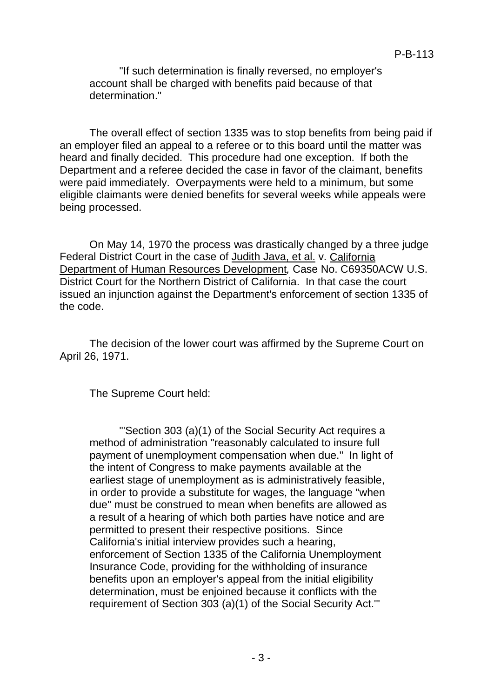"If such determination is finally reversed, no employer's account shall be charged with benefits paid because of that determination."

The overall effect of section 1335 was to stop benefits from being paid if an employer filed an appeal to a referee or to this board until the matter was heard and finally decided. This procedure had one exception. If both the Department and a referee decided the case in favor of the claimant, benefits were paid immediately. Overpayments were held to a minimum, but some eligible claimants were denied benefits for several weeks while appeals were being processed.

On May 14, 1970 the process was drastically changed by a three judge Federal District Court in the case of Judith Java, et al. v. California Department of Human Resources Development*,* Case No. C69350ACW U.S. District Court for the Northern District of California. In that case the court issued an injunction against the Department's enforcement of section 1335 of the code.

The decision of the lower court was affirmed by the Supreme Court on April 26, 1971.

The Supreme Court held:

"'Section 303 (a)(1) of the Social Security Act requires a method of administration "reasonably calculated to insure full payment of unemployment compensation when due." In light of the intent of Congress to make payments available at the earliest stage of unemployment as is administratively feasible, in order to provide a substitute for wages, the language "when due" must be construed to mean when benefits are allowed as a result of a hearing of which both parties have notice and are permitted to present their respective positions. Since California's initial interview provides such a hearing, enforcement of Section 1335 of the California Unemployment Insurance Code, providing for the withholding of insurance benefits upon an employer's appeal from the initial eligibility determination, must be enjoined because it conflicts with the requirement of Section 303 (a)(1) of the Social Security Act.'"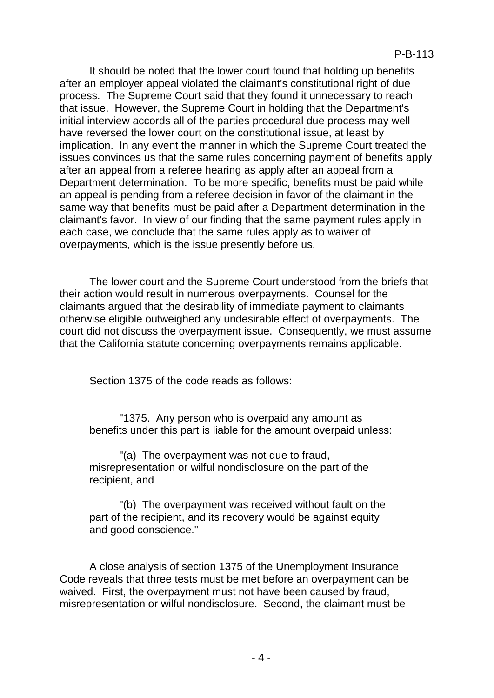It should be noted that the lower court found that holding up benefits after an employer appeal violated the claimant's constitutional right of due process. The Supreme Court said that they found it unnecessary to reach that issue. However, the Supreme Court in holding that the Department's initial interview accords all of the parties procedural due process may well have reversed the lower court on the constitutional issue, at least by implication. In any event the manner in which the Supreme Court treated the issues convinces us that the same rules concerning payment of benefits apply after an appeal from a referee hearing as apply after an appeal from a Department determination. To be more specific, benefits must be paid while an appeal is pending from a referee decision in favor of the claimant in the same way that benefits must be paid after a Department determination in the claimant's favor. In view of our finding that the same payment rules apply in each case, we conclude that the same rules apply as to waiver of overpayments, which is the issue presently before us.

The lower court and the Supreme Court understood from the briefs that their action would result in numerous overpayments. Counsel for the claimants argued that the desirability of immediate payment to claimants otherwise eligible outweighed any undesirable effect of overpayments. The court did not discuss the overpayment issue. Consequently, we must assume that the California statute concerning overpayments remains applicable.

Section 1375 of the code reads as follows:

"1375. Any person who is overpaid any amount as benefits under this part is liable for the amount overpaid unless:

"(a) The overpayment was not due to fraud, misrepresentation or wilful nondisclosure on the part of the recipient, and

"(b) The overpayment was received without fault on the part of the recipient, and its recovery would be against equity and good conscience."

A close analysis of section 1375 of the Unemployment Insurance Code reveals that three tests must be met before an overpayment can be waived. First, the overpayment must not have been caused by fraud, misrepresentation or wilful nondisclosure. Second, the claimant must be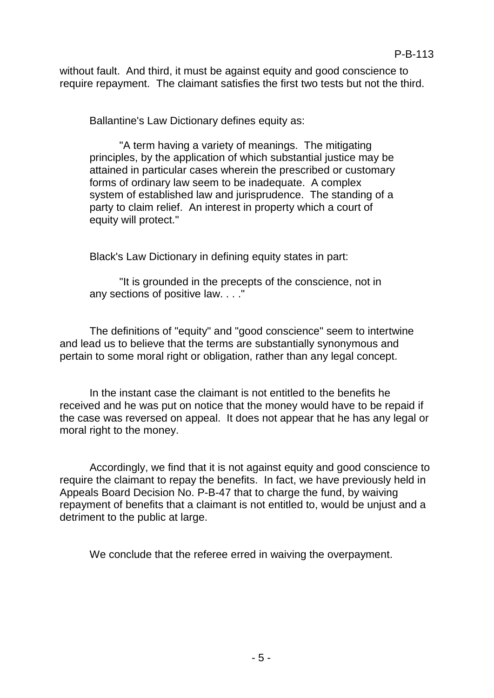without fault. And third, it must be against equity and good conscience to require repayment. The claimant satisfies the first two tests but not the third.

Ballantine's Law Dictionary defines equity as:

"A term having a variety of meanings. The mitigating principles, by the application of which substantial justice may be attained in particular cases wherein the prescribed or customary forms of ordinary law seem to be inadequate. A complex system of established law and jurisprudence. The standing of a party to claim relief. An interest in property which a court of equity will protect."

Black's Law Dictionary in defining equity states in part:

"It is grounded in the precepts of the conscience, not in any sections of positive law. . . ."

The definitions of "equity" and "good conscience" seem to intertwine and lead us to believe that the terms are substantially synonymous and pertain to some moral right or obligation, rather than any legal concept.

In the instant case the claimant is not entitled to the benefits he received and he was put on notice that the money would have to be repaid if the case was reversed on appeal. It does not appear that he has any legal or moral right to the money.

Accordingly, we find that it is not against equity and good conscience to require the claimant to repay the benefits. In fact, we have previously held in Appeals Board Decision No. P-B-47 that to charge the fund, by waiving repayment of benefits that a claimant is not entitled to, would be unjust and a detriment to the public at large.

We conclude that the referee erred in waiving the overpayment.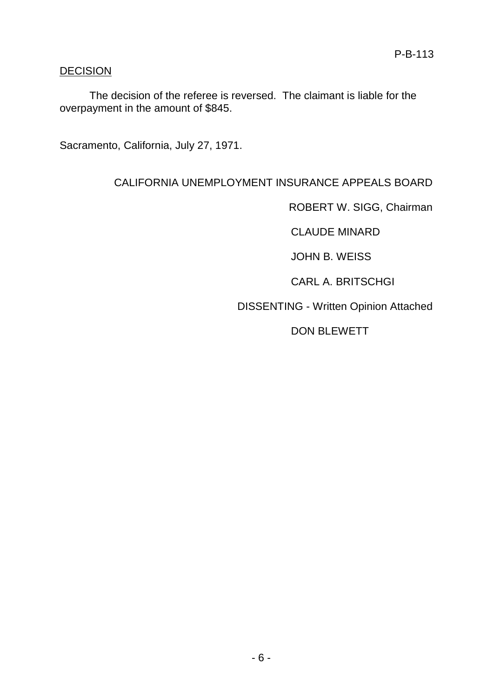## DECISION

The decision of the referee is reversed. The claimant is liable for the overpayment in the amount of \$845.

Sacramento, California, July 27, 1971.

# CALIFORNIA UNEMPLOYMENT INSURANCE APPEALS BOARD

ROBERT W. SIGG, Chairman

CLAUDE MINARD

JOHN B. WEISS

CARL A. BRITSCHGI

DISSENTING - Written Opinion Attached

DON BLEWETT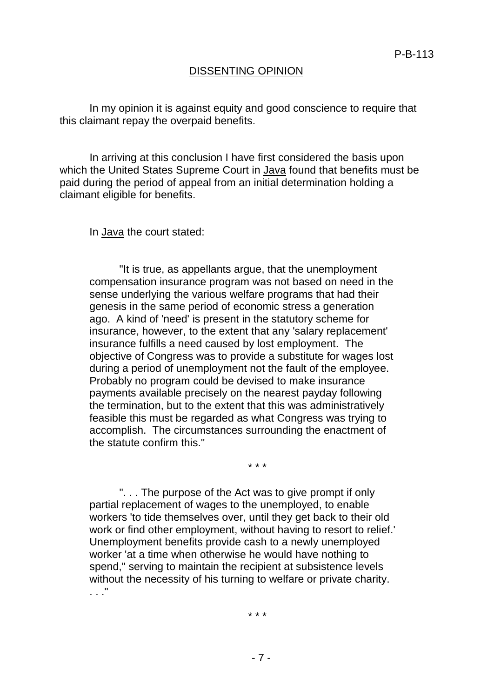#### DISSENTING OPINION

In my opinion it is against equity and good conscience to require that this claimant repay the overpaid benefits.

In arriving at this conclusion I have first considered the basis upon which the United States Supreme Court in Java found that benefits must be paid during the period of appeal from an initial determination holding a claimant eligible for benefits.

In Java the court stated:

"It is true, as appellants argue, that the unemployment compensation insurance program was not based on need in the sense underlying the various welfare programs that had their genesis in the same period of economic stress a generation ago. A kind of 'need' is present in the statutory scheme for insurance, however, to the extent that any 'salary replacement' insurance fulfills a need caused by lost employment. The objective of Congress was to provide a substitute for wages lost during a period of unemployment not the fault of the employee. Probably no program could be devised to make insurance payments available precisely on the nearest payday following the termination, but to the extent that this was administratively feasible this must be regarded as what Congress was trying to accomplish. The circumstances surrounding the enactment of the statute confirm this."

\* \* \*

". . . The purpose of the Act was to give prompt if only partial replacement of wages to the unemployed, to enable workers 'to tide themselves over, until they get back to their old work or find other employment, without having to resort to relief.' Unemployment benefits provide cash to a newly unemployed worker 'at a time when otherwise he would have nothing to spend," serving to maintain the recipient at subsistence levels without the necessity of his turning to welfare or private charity. . . ."

\* \* \*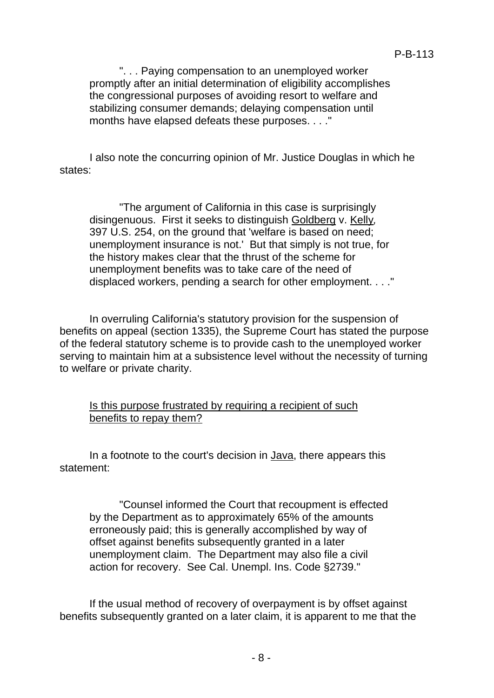". . . Paying compensation to an unemployed worker promptly after an initial determination of eligibility accomplishes the congressional purposes of avoiding resort to welfare and stabilizing consumer demands; delaying compensation until months have elapsed defeats these purposes. . . ."

I also note the concurring opinion of Mr. Justice Douglas in which he states:

"The argument of California in this case is surprisingly disingenuous. First it seeks to distinguish Goldberg v. Kelly*,* 397 U.S. 254, on the ground that 'welfare is based on need; unemployment insurance is not.' But that simply is not true, for the history makes clear that the thrust of the scheme for unemployment benefits was to take care of the need of displaced workers, pending a search for other employment. . . ."

In overruling California's statutory provision for the suspension of benefits on appeal (section 1335), the Supreme Court has stated the purpose of the federal statutory scheme is to provide cash to the unemployed worker serving to maintain him at a subsistence level without the necessity of turning to welfare or private charity.

### Is this purpose frustrated by requiring a recipient of such benefits to repay them?

In a footnote to the court's decision in Java, there appears this statement:

"Counsel informed the Court that recoupment is effected by the Department as to approximately 65% of the amounts erroneously paid; this is generally accomplished by way of offset against benefits subsequently granted in a later unemployment claim. The Department may also file a civil action for recovery. See Cal. Unempl. Ins. Code §2739."

If the usual method of recovery of overpayment is by offset against benefits subsequently granted on a later claim, it is apparent to me that the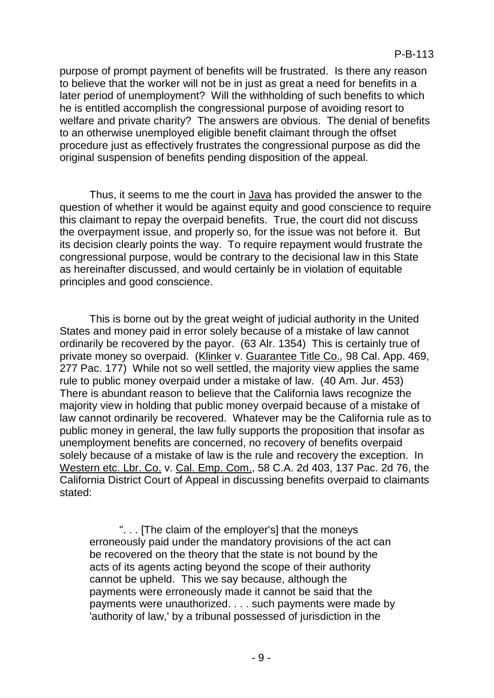purpose of prompt payment of benefits will be frustrated. Is there any reason to believe that the worker will not be in just as great a need for benefits in a later period of unemployment? Will the withholding of such benefits to which he is entitled accomplish the congressional purpose of avoiding resort to welfare and private charity? The answers are obvious. The denial of benefits to an otherwise unemployed eligible benefit claimant through the offset procedure just as effectively frustrates the congressional purpose as did the original suspension of benefits pending disposition of the appeal.

Thus, it seems to me the court in Java has provided the answer to the question of whether it would be against equity and good conscience to require this claimant to repay the overpaid benefits. True, the court did not discuss the overpayment issue, and properly so, for the issue was not before it. But its decision clearly points the way. To require repayment would frustrate the congressional purpose, would be contrary to the decisional law in this State as hereinafter discussed, and would certainly be in violation of equitable principles and good conscience.

This is borne out by the great weight of judicial authority in the United States and money paid in error solely because of a mistake of law cannot ordinarily be recovered by the payor. (63 Alr. 1354) This is certainly true of private money so overpaid. (Klinker v. Guarantee Title Co.*,* 98 Cal. App. 469, 277 Pac. 177) While not so well settled, the majority view applies the same rule to public money overpaid under a mistake of law. (40 Am. Jur. 453) There is abundant reason to believe that the California laws recognize the majority view in holding that public money overpaid because of a mistake of law cannot ordinarily be recovered. Whatever may be the California rule as to public money in general, the law fully supports the proposition that insofar as unemployment benefits are concerned, no recovery of benefits overpaid solely because of a mistake of law is the rule and recovery the exception. In Western etc. Lbr. Co. v. Cal. Emp. Com., 58 C.A. 2d 403, 137 Pac. 2d 76, the California District Court of Appeal in discussing benefits overpaid to claimants stated:

". . . [The claim of the employer's] that the moneys erroneously paid under the mandatory provisions of the act can be recovered on the theory that the state is not bound by the acts of its agents acting beyond the scope of their authority cannot be upheld. This we say because, although the payments were erroneously made it cannot be said that the payments were unauthorized. . . . such payments were made by 'authority of law,' by a tribunal possessed of jurisdiction in the